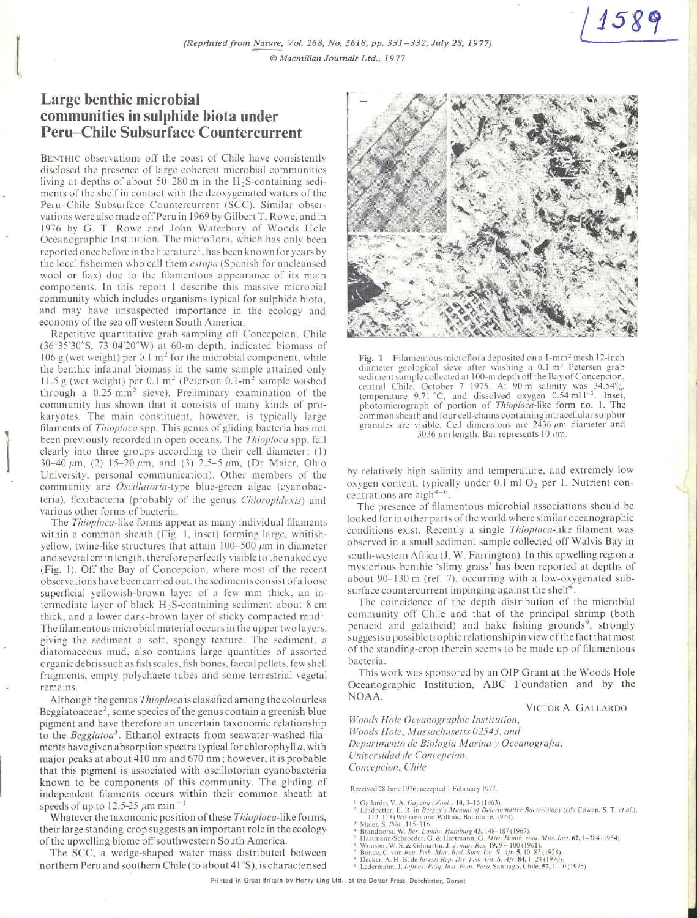## **Large benthic microbial communities in sulphide biota under Peru-Chile Subsurface Countercurrent**

 $\mathbf{r}$ 

 $\begin{bmatrix} \n\ddots & \n\end{bmatrix}$ 

BENTHIC observations off the coast of Chile have consistently disclosed the presence of large coherent microbial communities living at depths of about 50-280 m in the H<sub>2</sub>S-containing sediments of the shelf in contact with the deoxygenated waters of the Peru-Chile Subsurface Countercurrent (SCC). Similar observations were also madc off Peru in 1969 by Gilbert T . Rowc. and in 1976 by G. T. Rowe and John Waterbury oí Woods Hole Oceanographic Institution. The microflora, which has only been reported once before in the literature<sup>1</sup>, has been known for years by the local fishermen who call them *estopa* (Spanish for uncleansed wool or fiax) due to the filamentous appearance of its main components. In this report I describe this massive microbial community which includes organisms typical for sulphide biota, and may have unsuspected importance in the ecology and economy of the sea off western South America.

Repetitive quantitative grab sampling off Concepcion. Chile (36 35'30"S. 73 04'20"W) al 60-m dcpth. indicatcd biomass of 106 g (wet weight) per 0.1  $m<sup>2</sup>$  for the microbial component, while thc benthic infaunal biomass in thc samc sample attained only 11.5 g (wet weight) per  $0.1 \text{ m}^2$  (Peterson  $0.1 \text{ m}^2$  sample washed through a  $0.25$ -mm<sup>2</sup> sieve). Preliminary examination of the community has shown that it consists of many kinds oí prokaryotes. The main constituent. however. is typically large filaments of *Tlrioploca* spp. This gcnus of gliding bacteria has not been previously recordcd in open oceans. Thc *Tllioploca* spp. fall clearly into three groups according to their cell diameter: (1)  $30-40 \mu m$ , (2) 15-20  $\mu$ m, and (3) 2.5-5  $\mu$ m, (Dr Maier, Ohio University, personal communication). Other members of the community are *Oscillatoria*-type blue-green algae (cyanobacteria). flexibacteria (probably of the genus *Chlorophlexis*) and various other forms of bacteria.

The *Tlrioploca-likc* forms appear as many individual filamcnts within a common sheath (Fig. J. inset) forming large. whitishyellow, twine-like structures that attain  $100-500 \ \mu m$  in diameter and several cm in length, therefore perfectly visible to the naked eye (Fig. 1). Off the Bay of Concepcion, where most of the recent observations have been carried out, the sediments consist of a loose superficial yellowish-brown layer of a few mm thick, an intermediate layer of black H<sub>2</sub>S-containing sediment about 8 cm thick, and a lower dark-brown layer of sticky compacted  $mud<sup>1</sup>$ . The filamentous microbial material occurs in the upper two layers. giving the sediment a soft, spongy texture. The sediment, a diatomaceous mud, also contains large quantities of assorted organic debris such as fish scales, fish bones, faecal pellets, few shell fragments, empty polychaete tubes and some terrestrial vegetal remains.

Although the genius *Thioploca* is classified among the colourless Beggiatoaceae<sup>2</sup>, some species of the genus contain a greenish blue pigment and have therefore an uncertain taxonomic relationship to the *Beggiatoa*<sup>3</sup>. Ethanol extracts from seawater-washed filaments have given absorption spectra typical for chlorophyll *a*, with major peaks at about 410 nm and 670 nm; however, it is probable that this pigment is associated with oscillotorian cyanobacteria known to be components of this community. The gliding oí independent filaments occurs within their common sheath at speeds of up to 12.5-25  $\mu$ m min<sup>-1</sup>

Whatever the taxonomic position ofthese *Tlrioploca-like* forms, their large standing-crop suggests an important role in the ecology of the upwelling biome off southwestern South America.

The SCC, a wedge-shaped water mass distributed between northern Peru and southern Chile (to about 41 ºS), is characterised



1589

Fig. 1 Filamentous microflora deposited on a 1-mm<sup>2</sup> mesh 12-inch diameter geological sieve after washing a 0.1 m<sup>2</sup> Petersen grab sediment sample collected at 100-m depth off the Bay of Concepcion, central Chile, October 7 1975. At 90 m salinity was  $34.54\%$ , temperature 9.71 °C, and dissolved oxygen 0.54 ml  $l^{-1}$ . Inset, photomicrograph of portion of *Thiop/oca-likc* form no. 1. The common sheath and four cell-chains containing intracellular sulphur granules are visible. Cell dimensions are  $2436 \mu m$  diameter and 3036  $\mu$ m length. Bar represents 10  $\mu$ m.

by relatively high salinity and temperature, and extremely low oxygen content, typically under 0.1 ml O<sub>2</sub> per 1. Nutrient concentrations are high<sup>4-6</sup>.

The presence of filamentous microbial associations should be looked for in other parts of the world where similar oceanographic conditions exist. Recently a single *Thioploca*-like filament was observed in a small scdiment sample collccted olT Walvis Bay in south-western Africa (J. W. Farrington). In this upwelling region a mysterious benthic 'slimy grass' has been reported at depths of about 90- 130 m (ref. 7). occurring with a low-oxygcnated subsurface countercurrent impinging against the shelf<sup>8</sup>

The coincidence of the depth distribution of the microbial community off Chile and that of the principal shrimp (both penaeid and galatheid) and hake fishing grounds<sup>9</sup>, strongly suggests a possible trophic relationship in view of the fact that most of thc standing-crop thcrein seems to be made up oí filamentous bacteria.

This work was sponsored by an OIP Grant at the Woods Hole Oceanographic Institution, ABC Foundation and by the **NOAA.** 

VICTOR A. GALLARDO

*Woods Hale Ocecmograpltic lmrirurion, Woods Hole, Massachusetts 02543, and Depart111e1110 tle Biología Marina y Oceanografía. Unirersiclacl de Concepcion, Concepcion, Chile* 

**Rccc1\cd 1~ June 1976; ;1cí.:epted J Febru.tr} 1977.** 

- <sup>1</sup> Gallardo, V. A. *Gayana (Zool.*, 10, 3–15 (1963).<br><sup>2</sup> Leadshtre, E. R. in *Bergey's Manual of Determinative Bacteriology* (eds Cowan, S. T. *et al.*),<br><sup>3</sup> Maier, S. *Ibid.*, 115-118.<br><sup>2</sup> Maier, S. *Ibid.*, 115-116.<br><sup>4</sup>
	-
- 
- 
- <sup>5</sup> Hartmann-Schroeder, G. & Hartmann, G. *Mith. Hamb. zool. Mus. Inst.* 62, 1–384 (1954).<br><sup>9</sup> Wooster, W. S. & Gilmartin. J. *J. mar. Res.* 19, 97–100 (1961).<br><sup>4</sup> Boode, C. von *Rep. Fish. Mar. Biol. Surv. Un. S. Apr.* 5
- 
- 
-